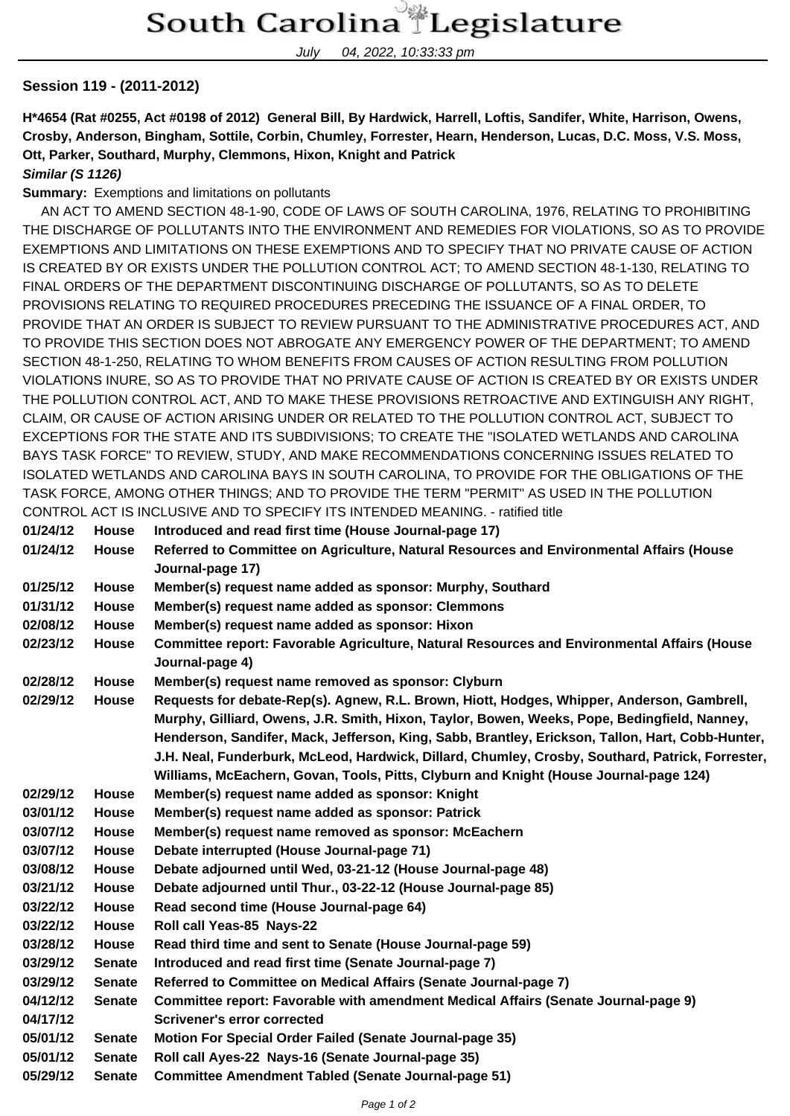July 04, 2022, 10:33:33 pm

## **Session 119 - (2011-2012)**

**H\*4654 (Rat #0255, Act #0198 of 2012) General Bill, By Hardwick, Harrell, Loftis, Sandifer, White, Harrison, Owens, Crosby, Anderson, Bingham, Sottile, Corbin, Chumley, Forrester, Hearn, Henderson, Lucas, D.C. Moss, V.S. Moss, Ott, Parker, Southard, Murphy, Clemmons, Hixon, Knight and Patrick**

**Similar (S 1126)**

**Summary:** Exemptions and limitations on pollutants

 AN ACT TO AMEND SECTION 48-1-90, CODE OF LAWS OF SOUTH CAROLINA, 1976, RELATING TO PROHIBITING THE DISCHARGE OF POLLUTANTS INTO THE ENVIRONMENT AND REMEDIES FOR VIOLATIONS, SO AS TO PROVIDE EXEMPTIONS AND LIMITATIONS ON THESE EXEMPTIONS AND TO SPECIFY THAT NO PRIVATE CAUSE OF ACTION IS CREATED BY OR EXISTS UNDER THE POLLUTION CONTROL ACT; TO AMEND SECTION 48-1-130, RELATING TO FINAL ORDERS OF THE DEPARTMENT DISCONTINUING DISCHARGE OF POLLUTANTS, SO AS TO DELETE PROVISIONS RELATING TO REQUIRED PROCEDURES PRECEDING THE ISSUANCE OF A FINAL ORDER, TO PROVIDE THAT AN ORDER IS SUBJECT TO REVIEW PURSUANT TO THE ADMINISTRATIVE PROCEDURES ACT, AND TO PROVIDE THIS SECTION DOES NOT ABROGATE ANY EMERGENCY POWER OF THE DEPARTMENT; TO AMEND SECTION 48-1-250, RELATING TO WHOM BENEFITS FROM CAUSES OF ACTION RESULTING FROM POLLUTION VIOLATIONS INURE, SO AS TO PROVIDE THAT NO PRIVATE CAUSE OF ACTION IS CREATED BY OR EXISTS UNDER THE POLLUTION CONTROL ACT, AND TO MAKE THESE PROVISIONS RETROACTIVE AND EXTINGUISH ANY RIGHT, CLAIM, OR CAUSE OF ACTION ARISING UNDER OR RELATED TO THE POLLUTION CONTROL ACT, SUBJECT TO EXCEPTIONS FOR THE STATE AND ITS SUBDIVISIONS; TO CREATE THE "ISOLATED WETLANDS AND CAROLINA BAYS TASK FORCE" TO REVIEW, STUDY, AND MAKE RECOMMENDATIONS CONCERNING ISSUES RELATED TO ISOLATED WETLANDS AND CAROLINA BAYS IN SOUTH CAROLINA, TO PROVIDE FOR THE OBLIGATIONS OF THE TASK FORCE, AMONG OTHER THINGS; AND TO PROVIDE THE TERM "PERMIT" AS USED IN THE POLLUTION CONTROL ACT IS INCLUSIVE AND TO SPECIFY ITS INTENDED MEANING. - ratified title

| 01/24/12 | <b>House</b>  | Introduced and read first time (House Journal-page 17)                                                                                                                                                                                                                                                                                                                                                                                                                                      |
|----------|---------------|---------------------------------------------------------------------------------------------------------------------------------------------------------------------------------------------------------------------------------------------------------------------------------------------------------------------------------------------------------------------------------------------------------------------------------------------------------------------------------------------|
| 01/24/12 | House         | Referred to Committee on Agriculture, Natural Resources and Environmental Affairs (House<br>Journal-page 17)                                                                                                                                                                                                                                                                                                                                                                                |
| 01/25/12 | House         | Member(s) request name added as sponsor: Murphy, Southard                                                                                                                                                                                                                                                                                                                                                                                                                                   |
| 01/31/12 | <b>House</b>  | Member(s) request name added as sponsor: Clemmons                                                                                                                                                                                                                                                                                                                                                                                                                                           |
| 02/08/12 | House         | Member(s) request name added as sponsor: Hixon                                                                                                                                                                                                                                                                                                                                                                                                                                              |
| 02/23/12 | <b>House</b>  | Committee report: Favorable Agriculture, Natural Resources and Environmental Affairs (House<br>Journal-page 4)                                                                                                                                                                                                                                                                                                                                                                              |
| 02/28/12 | House         | Member(s) request name removed as sponsor: Clyburn                                                                                                                                                                                                                                                                                                                                                                                                                                          |
| 02/29/12 | House         | Requests for debate-Rep(s). Agnew, R.L. Brown, Hiott, Hodges, Whipper, Anderson, Gambrell,<br>Murphy, Gilliard, Owens, J.R. Smith, Hixon, Taylor, Bowen, Weeks, Pope, Bedingfield, Nanney,<br>Henderson, Sandifer, Mack, Jefferson, King, Sabb, Brantley, Erickson, Tallon, Hart, Cobb-Hunter,<br>J.H. Neal, Funderburk, McLeod, Hardwick, Dillard, Chumley, Crosby, Southard, Patrick, Forrester,<br>Williams, McEachern, Govan, Tools, Pitts, Clyburn and Knight (House Journal-page 124) |
| 02/29/12 | <b>House</b>  | Member(s) request name added as sponsor: Knight                                                                                                                                                                                                                                                                                                                                                                                                                                             |
| 03/01/12 | House         | Member(s) request name added as sponsor: Patrick                                                                                                                                                                                                                                                                                                                                                                                                                                            |
| 03/07/12 | <b>House</b>  | Member(s) request name removed as sponsor: McEachern                                                                                                                                                                                                                                                                                                                                                                                                                                        |
| 03/07/12 | House         | Debate interrupted (House Journal-page 71)                                                                                                                                                                                                                                                                                                                                                                                                                                                  |
| 03/08/12 | House         | Debate adjourned until Wed, 03-21-12 (House Journal-page 48)                                                                                                                                                                                                                                                                                                                                                                                                                                |
| 03/21/12 | House         | Debate adjourned until Thur., 03-22-12 (House Journal-page 85)                                                                                                                                                                                                                                                                                                                                                                                                                              |
| 03/22/12 | House         | Read second time (House Journal-page 64)                                                                                                                                                                                                                                                                                                                                                                                                                                                    |
| 03/22/12 | House         | Roll call Yeas-85 Nays-22                                                                                                                                                                                                                                                                                                                                                                                                                                                                   |
| 03/28/12 | House         | Read third time and sent to Senate (House Journal-page 59)                                                                                                                                                                                                                                                                                                                                                                                                                                  |
| 03/29/12 | <b>Senate</b> | Introduced and read first time (Senate Journal-page 7)                                                                                                                                                                                                                                                                                                                                                                                                                                      |
| 03/29/12 | <b>Senate</b> | Referred to Committee on Medical Affairs (Senate Journal-page 7)                                                                                                                                                                                                                                                                                                                                                                                                                            |
| 04/12/12 | <b>Senate</b> | Committee report: Favorable with amendment Medical Affairs (Senate Journal-page 9)                                                                                                                                                                                                                                                                                                                                                                                                          |
| 04/17/12 |               | <b>Scrivener's error corrected</b>                                                                                                                                                                                                                                                                                                                                                                                                                                                          |
| 05/01/12 | <b>Senate</b> | Motion For Special Order Failed (Senate Journal-page 35)                                                                                                                                                                                                                                                                                                                                                                                                                                    |
| 05/01/12 | <b>Senate</b> | Roll call Ayes-22 Nays-16 (Senate Journal-page 35)                                                                                                                                                                                                                                                                                                                                                                                                                                          |
| 05/29/12 | <b>Senate</b> | <b>Committee Amendment Tabled (Senate Journal-page 51)</b>                                                                                                                                                                                                                                                                                                                                                                                                                                  |
|          |               |                                                                                                                                                                                                                                                                                                                                                                                                                                                                                             |